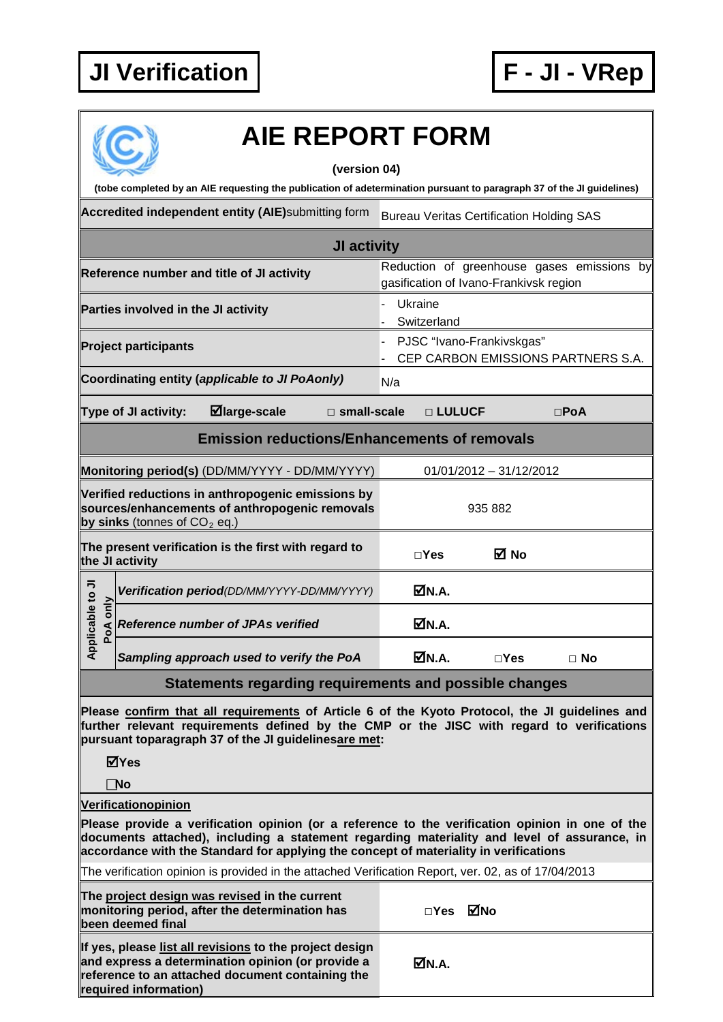## **JI Verification F - JI - VRep**



## **AIE REPORT FORM**

## **(version 04)**

Accredited independent entity (AIE)submitting form Bureau Veritas Certification Holding SAS **JI activity Reference number and title of JI activity** Reduction of greenhouse gases emissions by gasification of Ivano-Frankivsk region **Parties involved in the JI activity EXALL A RESE** 1 Ukraine **Switzerland Project participants COVID-COVID-COVID-COVID-COVID-COVID-COVID-COVID-COVID-COVID-COVID-COVID-COVID-COVID-COVID-COVID-COVID-COVID-COVID-COVID-COVID-COVID-COVID-COVID-COVID-COVID-COVID-COVID-COVID-COVID-COVID-COVID-COVID-**- CEP CARBON EMISSIONS PARTNERS S.A. **Coordinating entity (***applicable to JI PoAonly***) N/a Type of JI activity: large-scale □ small-scale □ LULUCF □PoA (tobe completed by an AIE requesting the publication of adetermination pursuant to paragraph 37 of the JI guidelines)**

## **Emission reductions/Enhancements of removals**

|                                                                                                                                       | Monitoring period(s) (DD/MM/YYYY - DD/MM/YYYY)                          | $01/01/2012 - 31/12/2012$ |               |           |  |  |
|---------------------------------------------------------------------------------------------------------------------------------------|-------------------------------------------------------------------------|---------------------------|---------------|-----------|--|--|
| Verified reductions in anthropogenic emissions by<br>sources/enhancements of anthropogenic removals<br>by sinks (tonnes of $CO2$ eq.) |                                                                         | 935 882                   |               |           |  |  |
|                                                                                                                                       | The present verification is the first with regard to<br>the JI activity | $\sqcap$ Yes              | M No          |           |  |  |
| $\frac{1}{2}$<br>Applicable<br>ခ<br>PoA                                                                                               | Verification period(DD/MM/YYYY-DD/MM/YYYY)                              | ØN.A.                     |               |           |  |  |
|                                                                                                                                       | <b>Reference number of JPAs verified</b>                                | MN.A.                     |               |           |  |  |
|                                                                                                                                       | Sampling approach used to verify the PoA                                | MN.A.                     | $\square$ Yes | $\Box$ No |  |  |
| Statements regarding requirements and possible changes                                                                                |                                                                         |                           |               |           |  |  |

**Please confirm that all requirements of Article 6 of the Kyoto Protocol, the JI guidelines and further relevant requirements defined by the CMP or the JISC with regard to verifications pursuant toparagraph 37 of the JI guidelinesare met:**

**Yes**

**No**

**Verificationopinion**

**Please provide a verification opinion (or a reference to the verification opinion in one of the documents attached), including a statement regarding materiality and level of assurance, in accordance with the Standard for applying the concept of materiality in verifications**

The verification opinion is provided in the attached Verification Report, ver. 02, as of 17/04/2013

| The project design was revised in the current<br>monitoring period, after the determination has<br>been deemed final                                                                      | □Yes ØNo |  |
|-------------------------------------------------------------------------------------------------------------------------------------------------------------------------------------------|----------|--|
| If yes, please list all revisions to the project design<br>and express a determination opinion (or provide a<br>reference to an attached document containing the<br>required information) | MN.A.    |  |